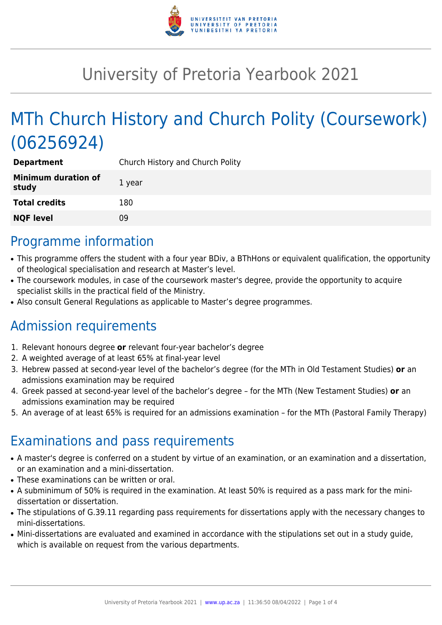

# University of Pretoria Yearbook 2021

# MTh Church History and Church Polity (Coursework) (06256924)

| <b>Department</b>                   | Church History and Church Polity |
|-------------------------------------|----------------------------------|
| <b>Minimum duration of</b><br>study | 1 year                           |
| <b>Total credits</b>                | 180                              |
| <b>NQF level</b>                    | Ωd                               |

### Programme information

- This programme offers the student with a four year BDiv, a BThHons or equivalent qualification, the opportunity of theological specialisation and research at Master's level.
- The coursework modules, in case of the coursework master's degree, provide the opportunity to acquire specialist skills in the practical field of the Ministry.
- Also consult General Regulations as applicable to Master's degree programmes.

### Admission requirements

- 1. Relevant honours degree **or** relevant four-year bachelor's degree
- 2. A weighted average of at least 65% at final-year level
- 3. Hebrew passed at second-year level of the bachelor's degree (for the MTh in Old Testament Studies) **or** an admissions examination may be required
- 4. Greek passed at second-year level of the bachelor's degree for the MTh (New Testament Studies) **or** an admissions examination may be required
- 5. An average of at least 65% is required for an admissions examination for the MTh (Pastoral Family Therapy)

## Examinations and pass requirements

- A master's degree is conferred on a student by virtue of an examination, or an examination and a dissertation, or an examination and a mini-dissertation.
- These examinations can be written or oral.
- A subminimum of 50% is required in the examination. At least 50% is required as a pass mark for the minidissertation or dissertation.
- The stipulations of G.39.11 regarding pass requirements for dissertations apply with the necessary changes to mini-dissertations.
- Mini-dissertations are evaluated and examined in accordance with the stipulations set out in a study guide, which is available on request from the various departments.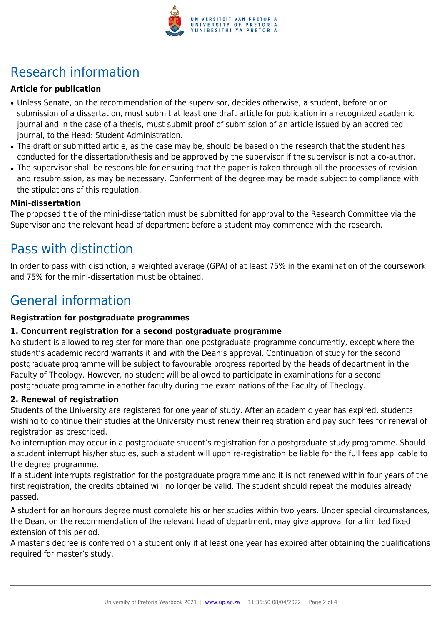

## Research information

#### **Article for publication**

- Unless Senate, on the recommendation of the supervisor, decides otherwise, a student, before or on submission of a dissertation, must submit at least one draft article for publication in a recognized academic journal and in the case of a thesis, must submit proof of submission of an article issued by an accredited journal, to the Head: Student Administration.
- The draft or submitted article, as the case may be, should be based on the research that the student has conducted for the dissertation/thesis and be approved by the supervisor if the supervisor is not a co-author.
- The supervisor shall be responsible for ensuring that the paper is taken through all the processes of revision and resubmission, as may be necessary. Conferment of the degree may be made subject to compliance with the stipulations of this regulation.

#### **Mini-dissertation**

The proposed title of the mini-dissertation must be submitted for approval to the Research Committee via the Supervisor and the relevant head of department before a student may commence with the research.

### Pass with distinction

In order to pass with distinction, a weighted average (GPA) of at least 75% in the examination of the coursework and 75% for the mini-dissertation must be obtained.

### General information

#### **Registration for postgraduate programmes**

#### **1. Concurrent registration for a second postgraduate programme**

No student is allowed to register for more than one postgraduate programme concurrently, except where the student's academic record warrants it and with the Dean's approval. Continuation of study for the second postgraduate programme will be subject to favourable progress reported by the heads of department in the Faculty of Theology. However, no student will be allowed to participate in examinations for a second postgraduate programme in another faculty during the examinations of the Faculty of Theology.

#### **2. Renewal of registration**

Students of the University are registered for one year of study. After an academic year has expired, students wishing to continue their studies at the University must renew their registration and pay such fees for renewal of registration as prescribed.

No interruption may occur in a postgraduate student's registration for a postgraduate study programme. Should a student interrupt his/her studies, such a student will upon re-registration be liable for the full fees applicable to the degree programme.

If a student interrupts registration for the postgraduate programme and it is not renewed within four years of the first registration, the credits obtained will no longer be valid. The student should repeat the modules already passed.

A student for an honours degree must complete his or her studies within two years. Under special circumstances, the Dean, on the recommendation of the relevant head of department, may give approval for a limited fixed extension of this period.

A master's degree is conferred on a student only if at least one year has expired after obtaining the qualifications required for master's study.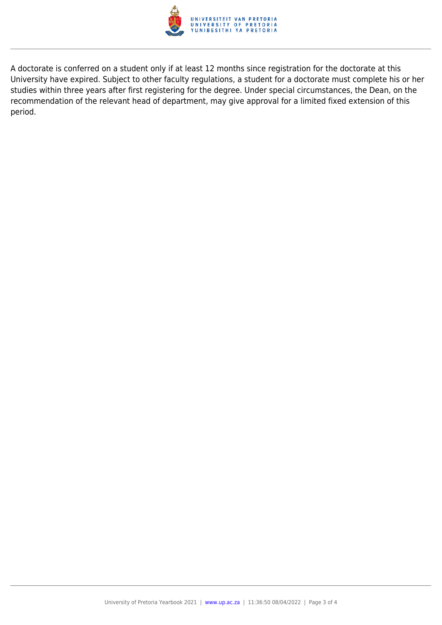

A doctorate is conferred on a student only if at least 12 months since registration for the doctorate at this University have expired. Subject to other faculty regulations, a student for a doctorate must complete his or her studies within three years after first registering for the degree. Under special circumstances, the Dean, on the recommendation of the relevant head of department, may give approval for a limited fixed extension of this period.